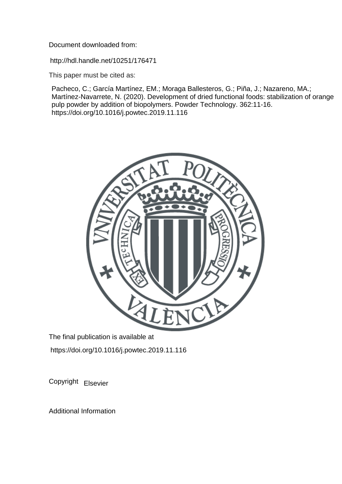Document downloaded from:

http://hdl.handle.net/10251/176471

This paper must be cited as:

Pacheco, C.; García Martínez, EM.; Moraga Ballesteros, G.; Piña, J.; Nazareno, MA.; Martínez-Navarrete, N. (2020). Development of dried functional foods: stabilization of orange pulp powder by addition of biopolymers. Powder Technology. 362:11-16. https://doi.org/10.1016/j.powtec.2019.11.116



The final publication is available at https://doi.org/10.1016/j.powtec.2019.11.116

Copyright Elsevier

Additional Information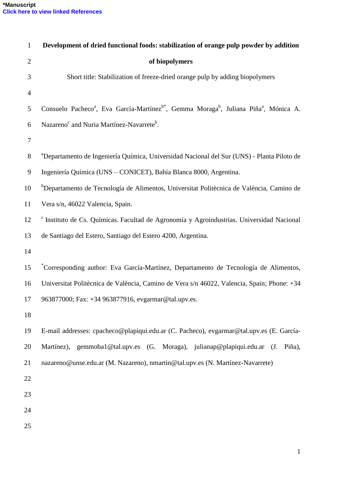| $\mathbf{1}$   | Development of dried functional foods: stabilization of orange pulp powder by addition                                                |
|----------------|---------------------------------------------------------------------------------------------------------------------------------------|
| $\mathbf{2}$   | of biopolymers                                                                                                                        |
| 3              | Short title: Stabilization of freeze-dried orange pulp by adding biopolymers                                                          |
| $\overline{4}$ |                                                                                                                                       |
| 5              | Consuelo Pacheco <sup>a</sup> , Eva García-Martínez <sup>b*</sup> , Gemma Moraga <sup>b</sup> , Juliana Piña <sup>a</sup> , Mónica A. |
| 6              | Nazareno <sup>c</sup> and Nuria Martínez-Navarrete <sup>b</sup> .                                                                     |
| $\tau$         |                                                                                                                                       |
| $8\,$          | <sup>a</sup> Departamento de Ingeniería Química, Universidad Nacional del Sur (UNS) - Planta Piloto de                                |
| 9              | Ingeniería Química (UNS – CONICET), Bahía Blanca 8000, Argentina.                                                                     |
| 10             | <sup>b</sup> Departamento de Tecnología de Alimentos, Universitat Politècnica de València, Camino de                                  |
| 11             | Vera s/n, 46022 Valencia, Spain.                                                                                                      |
| 12             | <sup>c</sup> Instituto de Cs. Químicas. Facultad de Agronomía y Agroindustrias. Universidad Nacional                                  |
| 13             | de Santiago del Estero, Santiago del Estero 4200, Argentina.                                                                          |
| 14             |                                                                                                                                       |
| 15             | *Corresponding author: Eva García-Martínez, Departamento de Tecnología de Alimentos,                                                  |
| 16             | Universitat Politècnica de València, Camino de Vera s/n 46022, Valencia, Spain; Phone: +34                                            |
| 17             | 963877000; Fax: +34 963877916, evgarmar@tal.upv.es.                                                                                   |
| 18             |                                                                                                                                       |
| 19             | E-mail addresses: cpacheco@plapiqui.edu.ar (C. Pacheco), evgarmar@tal.upv.es (E. García-                                              |
| 20             | Martínez), gemmoba1@tal.upv.es (G. Moraga), julianap@plapiqui.edu.ar (J. Piña),                                                       |
| 21             | nazareno@unse.edu.ar (M. Nazareno), nmartin@tal.upv.es (N. Martínez-Navarrete)                                                        |
| 22             |                                                                                                                                       |
| 23             |                                                                                                                                       |
| 24             |                                                                                                                                       |
| 25             |                                                                                                                                       |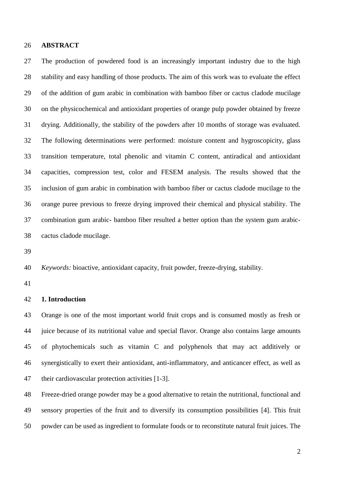#### **ABSTRACT**

 The production of powdered food is an increasingly important industry due to the high stability and easy handling of those products. The aim of this work was to evaluate the effect of the addition of gum arabic in combination with bamboo fiber or cactus cladode mucilage on the physicochemical and antioxidant properties of orange pulp powder obtained by freeze drying. Additionally, the stability of the powders after 10 months of storage was evaluated. The following determinations were performed: moisture content and hygroscopicity, glass transition temperature, total phenolic and vitamin C content, antiradical and antioxidant capacities, compression test, color and FESEM analysis. The results showed that the inclusion of gum arabic in combination with bamboo fiber or cactus cladode mucilage to the orange puree previous to freeze drying improved their chemical and physical stability. The combination gum arabic- bamboo fiber resulted a better option than the system gum arabic-cactus cladode mucilage.

*Keywords:* bioactive, antioxidant capacity, fruit powder, freeze-drying, stability.

## **1. Introduction**

 Orange is one of the most important world fruit crops and is consumed mostly as fresh or juice because of its nutritional value and special flavor. Orange also contains large amounts of phytochemicals such as vitamin C and polyphenols that may act additively or synergistically to exert their antioxidant, anti-inflammatory, and anticancer effect, as well as their cardiovascular protection activities [1-3].

 Freeze-dried orange powder may be a good alternative to retain the nutritional, functional and sensory properties of the fruit and to diversify its consumption possibilities [4]. This fruit powder can be used as ingredient to formulate foods or to reconstitute natural fruit juices. The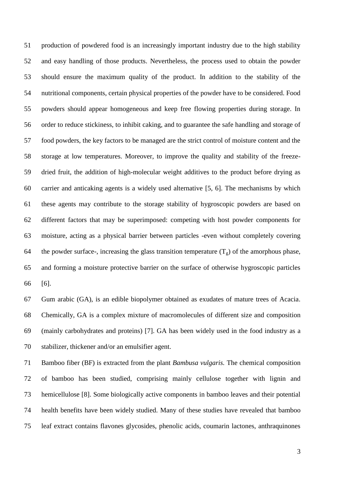production of powdered food is an increasingly important industry due to the high stability and easy handling of those products. Nevertheless, the process used to obtain the powder should ensure the maximum quality of the product. In addition to the stability of the nutritional components, certain physical properties of the powder have to be considered. Food powders should appear homogeneous and keep free flowing properties during storage. In order to reduce stickiness, to inhibit caking, and to guarantee the safe handling and storage of food powders, the key factors to be managed are the strict control of moisture content and the storage at low temperatures. Moreover, to improve the quality and stability of the freeze- dried fruit, the addition of high-molecular weight additives to the product before drying as carrier and anticaking agents is a widely used alternative [5, 6]. The mechanisms by which these agents may contribute to the storage stability of hygroscopic powders are based on different factors that may be superimposed: competing with host powder components for moisture, acting as a physical barrier between particles -even without completely covering 64 the powder surface-, increasing the glass transition temperature  $(T_g)$  of the amorphous phase, and forming a moisture protective barrier on the surface of otherwise hygroscopic particles [6].

 Gum arabic (GA), is an edible biopolymer obtained as exudates of mature trees of Acacia. Chemically, GA is a complex mixture of macromolecules of different size and composition (mainly carbohydrates and proteins) [7]. GA has been widely used in the food industry as a stabilizer, thickener and/or an emulsifier agent.

 Bamboo fiber (BF) is extracted from the plant *Bambusa vulgaris.* The chemical composition of bamboo has been studied, comprising mainly cellulose together with lignin and hemicellulose [8]. Some biologically active components in bamboo leaves and their potential health benefits have been widely studied. Many of these studies have revealed that bamboo leaf extract contains flavones glycosides, phenolic acids, coumarin lactones, anthraquinones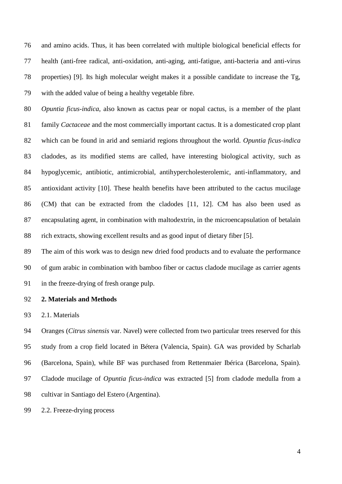and amino acids. Thus, it has been correlated with multiple biological beneficial effects for health (anti-free radical, anti-oxidation, anti-aging, anti-fatigue, anti-bacteria and anti-virus properties) [9]. Its high molecular weight makes it a possible candidate to increase the Tg, with the added value of being a healthy vegetable fibre.

 *Opuntia ficus-indica*, also known as cactus pear or nopal cactus, is a member of the plant family *Cactaceae* and the most commercially important cactus. It is a domesticated crop plant which can be found in arid and semiarid regions throughout the world. *Opuntia ficus-indica* cladodes, as its modified stems are called, have interesting biological activity, such as hypoglycemic, antibiotic, antimicrobial, antihypercholesterolemic, anti-inflammatory, and antioxidant activity [10]. These health benefits have been attributed to the cactus mucilage (CM) that can be extracted from the cladodes [11, 12]. CM has also been used as encapsulating agent, in combination with maltodextrin, in the microencapsulation of betalain rich extracts, showing excellent results and as good input of dietary fiber [5].

 The aim of this work was to design new dried food products and to evaluate the performance of gum arabic in combination with bamboo fiber or cactus cladode mucilage as carrier agents in the freeze-drying of fresh orange pulp.

## **2. Materials and Methods**

2.1. Materials

 Oranges (*Citrus sinensis* var. Navel) were collected from two particular trees reserved for this study from a crop field located in Bétera (Valencia, Spain). GA was provided by Scharlab (Barcelona, Spain), while BF was purchased from Rettenmaier Ibérica (Barcelona, Spain). Cladode mucilage of *Opuntia ficus-indica* was extracted [5] from cladode medulla from a cultivar in Santiago del Estero (Argentina).

2.2. Freeze-drying process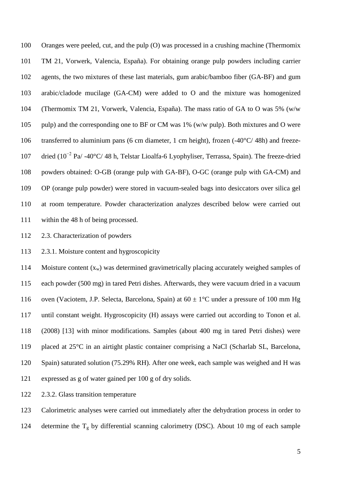Oranges were peeled, cut, and the pulp (O) was processed in a crushing machine (Thermomix TM 21, Vorwerk, Valencia, España). For obtaining orange pulp powders including carrier agents, the two mixtures of these last materials, gum arabic/bamboo fiber (GA-BF) and gum arabic/cladode mucilage (GA-CM) were added to O and the mixture was homogenized (Thermomix TM 21, Vorwerk, Valencia, España). The mass ratio of GA to O was 5% (w/w pulp) and the corresponding one to BF or CM was 1% (w/w pulp). Both mixtures and O were transferred to aluminium pans (6 cm diameter, 1 cm height), frozen (-40°C/ 48h) and freezedried (10−2 Pa/ -40°C/ 48 h, Telstar Lioalfa-6 Lyophyliser, Terrassa, Spain). The freeze-dried powders obtained: O-GB (orange pulp with GA-BF), O-GC (orange pulp with GA-CM) and OP (orange pulp powder) were stored in vacuum-sealed bags into desiccators over silica gel at room temperature. Powder characterization analyzes described below were carried out within the 48 h of being processed.

2.3. Characterization of powders

2.3.1. Moisture content and hygroscopicity

114 Moisture content  $(x_w)$  was determined gravimetrically placing accurately weighed samples of each powder (500 mg) in tared Petri dishes. Afterwards, they were vacuum dried in a vacuum 116 oven (Vaciotem, J.P. Selecta, Barcelona, Spain) at  $60 \pm 1^{\circ}$ C under a pressure of 100 mm Hg until constant weight. Hygroscopicity (H) assays were carried out according to Tonon et al. (2008) [13] with minor modifications. Samples (about 400 mg in tared Petri dishes) were placed at 25°C in an airtight plastic container comprising a NaCl (Scharlab SL, Barcelona, Spain) saturated solution (75.29% RH). After one week, each sample was weighed and H was expressed as g of water gained per 100 g of dry solids.

2.3.2. Glass transition temperature

Calorimetric analyses were carried out immediately after the dehydration process in order to

124 determine the  $T_g$  by differential scanning calorimetry (DSC). About 10 mg of each sample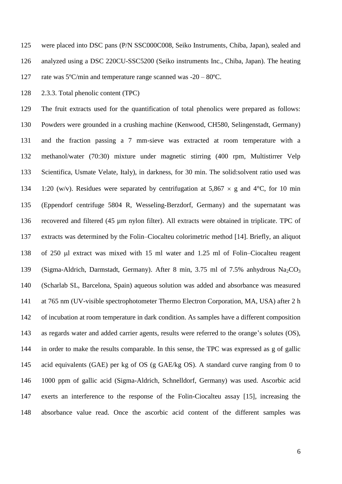were placed into DSC pans (P/N SSC000C008, Seiko Instruments, Chiba, Japan), sealed and analyzed using a DSC 220CU-SSC5200 (Seiko instruments Inc., Chiba, Japan). The heating rate was 5ºC/min and temperature range scanned was -20 – 80ºC.

2.3.3. Total phenolic content (TPC)

 The fruit extracts used for the quantification of total phenolics were prepared as follows: Powders were grounded in a crushing machine (Kenwood, CH580, Selingenstadt, Germany) and the fraction passing a 7 mm-sieve was extracted at room temperature with a methanol/water (70:30) mixture under magnetic stirring (400 rpm, Multistirrer Velp Scientifica, Usmate Velate, Italy), in darkness, for 30 min. The solid:solvent ratio used was 134 1:20 (w/v). Residues were separated by centrifugation at 5,867  $\times$  g and 4°C, for 10 min (Eppendorf centrifuge 5804 R, Wesseling-Berzdorf, Germany) and the supernatant was recovered and filtered (45 µm nylon filter). All extracts were obtained in triplicate. TPC of extracts was determined by the Folin–Ciocalteu colorimetric method [14]. Briefly, an aliquot 138 of 250 µl extract was mixed with 15 ml water and 1.25 ml of Folin–Ciocalteu reagent 139 (Sigma-Aldrich, Darmstadt, Germany). After 8 min, 3.75 ml of 7.5% anhydrous  $Na_2CO_3$  (Scharlab SL, Barcelona, Spain) aqueous solution was added and absorbance was measured at 765 nm (UV-visible spectrophotometer Thermo Electron Corporation, MA, USA) after 2 h of incubation at room temperature in dark condition. As samples have a different composition as regards water and added carrier agents, results were referred to the orange's solutes (OS), in order to make the results comparable. In this sense, the TPC was expressed as g of gallic acid equivalents (GAE) per kg of OS (g GAE/kg OS). A standard curve ranging from 0 to 1000 ppm of gallic acid (Sigma-Aldrich, Schnelldorf, Germany) was used. Ascorbic acid exerts an interference to the response of the Folin-Ciocalteu assay [15], increasing the absorbance value read. Once the ascorbic acid content of the different samples was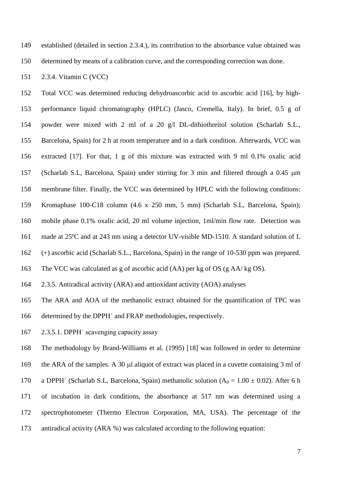- established (detailed in section 2.3.4.), its contribution to the absorbance value obtained was
- determined by means of a calibration curve, and the corresponding correction was done.

2.3.4. Vitamin C (VCC)

 Total VCC was determined reducing dehydroascorbic acid to ascorbic acid [16], by high- performance liquid chromatography (HPLC) (Jasco, Cremella, Italy). In brief, 0.5 g of powder were mixed with 2 ml of a 20 g/l DL-dithiothreitol solution (Scharlab S.L., Barcelona, Spain) for 2 h at room temperature and in a dark condition. Afterwards, VCC was extracted [17]. For that, 1 g of this mixture was extracted with 9 ml 0.1% oxalic acid (Scharlab S.L, Barcelona, Spain) under stirring for 3 min and filtered through a 0.45 m membrane filter. Finally, the VCC was determined by HPLC with the following conditions: Kromaphase 100-C18 column (4.6 x 250 mm, 5 mm) (Scharlab S.L, Barcelona, Spain); mobile phase 0.1% oxalic acid, 20 ml volume injection, 1ml/min flow rate. Detection was made at 25ºC and at 243 nm using a detector UV-visible MD-1510. A standard solution of L (+) ascorbic acid (Scharlab S.L., Barcelona, Spain) in the range of 10-530 ppm was prepared. The VCC was calculated as g of ascorbic acid (AA) per kg of OS (g AA/ kg OS).

2.3.5. Antiradical activity (ARA) and antioxidant activity (AOA) analyses

 The ARA and AOA of the methanolic extract obtained for the quantification of TPC was determined by the DPPH˙ and FRAP methodologies, respectively.

2.3.5.1. DPPH˙ scavenging capacity assay

The methodology by Brand-Williams et al. (1995) [18] was followed in order to determine

- 169 the ARA of the samples. A 30 µ aliquot of extract was placed in a cuvette containing 3 ml of
- 170 a DPPH (Scharlab S.L, Barcelona, Spain) methanolic solution  $(A_0 = 1.00 \pm 0.02)$ . After 6 h
- of incubation in dark conditions, the absorbance at 517 nm was determined using a
- spectrophotometer (Thermo Electron Corporation, MA, USA). The percentage of the
- antiradical activity (ARA %) was calculated according to the following equation: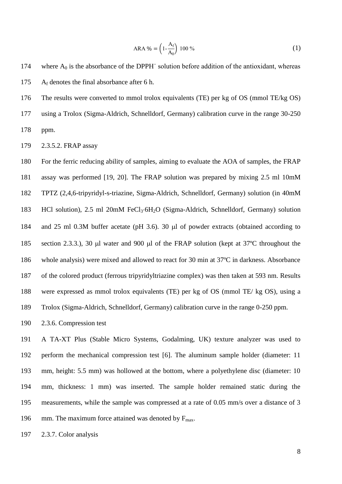ARA % = 
$$
\left(1 - \frac{A_f}{A_0}\right) 100
$$
 % (1)

- 174 where  $A_0$  is the absorbance of the DPPH solution before addition of the antioxidant, whereas A<sup>f</sup> denotes the final absorbance after 6 h.
- The results were converted to mmol trolox equivalents (TE) per kg of OS (mmol TE/kg OS)
- using a Trolox (Sigma-Aldrich, Schnelldorf, Germany) calibration curve in the range 30-250 ppm.
- 2.3.5.2. FRAP assay

 For the ferric reducing ability of samples, aiming to evaluate the AOA of samples, the FRAP assay was performed [19, 20]. The FRAP solution was prepared by mixing 2.5 ml 10mM TPTZ (2,4,6-tripyridyl-s-triazine, Sigma-Aldrich, Schnelldorf, Germany) solution (in 40mM 183 HCl solution), 2.5 ml 20mM FeCl<sub>3</sub>·6H<sub>2</sub>O (Sigma-Aldrich, Schnelldorf, Germany) solution 184 and 25 ml 0.3M buffer acetate (pH 3.6). 30  $\mu$ l of powder extracts (obtained according to 185 section 2.3.3.), 30 *ul* water and 900 *ul* of the FRAP solution (kept at 37<sup>o</sup>C throughout the whole analysis) were mixed and allowed to react for 30 min at 37ºC in darkness. Absorbance of the colored product (ferrous tripyridyltriazine complex) was then taken at 593 nm. Results were expressed as mmol trolox equivalents (TE) per kg of OS (mmol TE/ kg OS), using a Trolox (Sigma-Aldrich, Schnelldorf, Germany) calibration curve in the range 0-250 ppm.

2.3.6. Compression test

 A TA-XT Plus (Stable Micro Systems, Godalming, UK) texture analyzer was used to perform the mechanical compression test [6]. The aluminum sample holder (diameter: 11 mm, height: 5.5 mm) was hollowed at the bottom, where a polyethylene disc (diameter: 10 mm, thickness: 1 mm) was inserted. The sample holder remained static during the measurements, while the sample was compressed at a rate of 0.05 mm/s over a distance of 3 196 mm. The maximum force attained was denoted by  $F_{\text{max}}$ .

2.3.7. Color analysis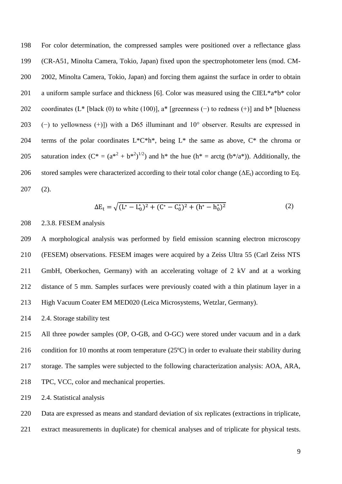198 For color determination, the compressed samples were positioned over a reflectance glass 199 (CR-A51, Minolta Camera, Tokio, Japan) fixed upon the spectrophotometer lens (mod. CM-200 2002, Minolta Camera, Tokio, Japan) and forcing them against the surface in order to obtain 201 a uniform sample surface and thickness [6]. Color was measured using the CIEL\*a\*b\* color 202 coordinates ( $L^*$  [black (0) to white (100)], a\* [greenness (−) to redness (+)] and b\* [blueness 203 (−) to yellowness (+)]) with a D65 illuminant and  $10^{\circ}$  observer. Results are expressed in 204 terms of the polar coordinates  $L^*C^*h^*$ , being  $L^*$  the same as above,  $C^*$  the chroma or 205 saturation index  $(C^* = (a^{*2} + b^{*2})^{1/2})$  and h<sup>\*</sup> the hue  $(h^* = \arctg (b^*/a^*))$ . Additionally, the 206 stored samples were characterized according to their total color change  $(\Delta E_t)$  according to Eq. 207 (2).

$$
\Delta E_t = \sqrt{(L^* - L_0^*)^2 + (C^* - C_0^*)^2 + (h^* - h_0^*)^2}
$$
 (2)

# 208 2.3.8. FESEM analysis

 A morphological analysis was performed by field emission scanning electron microscopy (FESEM) observations. FESEM images were acquired by a Zeiss Ultra 55 (Carl Zeiss NTS GmbH, Oberkochen, Germany) with an accelerating voltage of 2 kV and at a working distance of 5 mm. Samples surfaces were previously coated with a thin platinum layer in a High Vacuum Coater EM MED020 (Leica Microsystems, Wetzlar, Germany).

214 2.4. Storage stability test

 All three powder samples (OP, O-GB, and O-GC) were stored under vacuum and in a dark condition for 10 months at room temperature (25ºC) in order to evaluate their stability during storage. The samples were subjected to the following characterization analysis: AOA, ARA, TPC, VCC, color and mechanical properties.

219 2.4. Statistical analysis

220 Data are expressed as means and standard deviation of six replicates (extractions in triplicate,

221 extract measurements in duplicate) for chemical analyses and of triplicate for physical tests.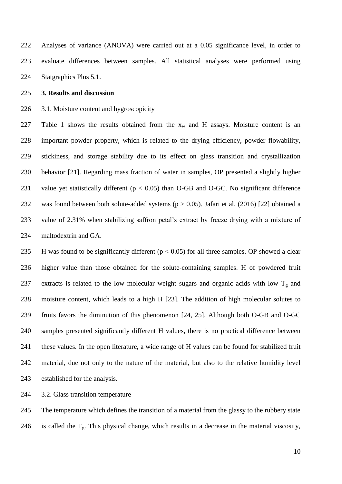Analyses of variance (ANOVA) were carried out at a 0.05 significance level, in order to evaluate differences between samples. All statistical analyses were performed using Statgraphics Plus 5.1.

## **3. Results and discussion**

3.1. Moisture content and hygroscopicity

227 Table 1 shows the results obtained from the  $x_w$  and H assays. Moisture content is an important powder property, which is related to the drying efficiency, powder flowability, stickiness, and storage stability due to its effect on glass transition and crystallization behavior [21]. Regarding mass fraction of water in samples, OP presented a slightly higher 231 value yet statistically different ( $p < 0.05$ ) than O-GB and O-GC. No significant difference was found between both solute-added systems (p > 0.05). Jafari et al. (2016) [22] obtained a 233 value of  $2.31\%$  when stabilizing saffron petal's extract by freeze drying with a mixture of maltodextrin and GA.

235 H was found to be significantly different ( $p < 0.05$ ) for all three samples. OP showed a clear higher value than those obtained for the solute-containing samples. H of powdered fruit 237 extracts is related to the low molecular weight sugars and organic acids with low  $T_g$  and moisture content, which leads to a high H [23]. The addition of high molecular solutes to fruits favors the diminution of this phenomenon [24, 25]. Although both O-GB and O-GC samples presented significantly different H values, there is no practical difference between these values. In the open literature, a wide range of H values can be found for stabilized fruit material, due not only to the nature of the material, but also to the relative humidity level established for the analysis.

3.2. Glass transition temperature

 The temperature which defines the transition of a material from the glassy to the rubbery state 246 is called the  $T_g$ . This physical change, which results in a decrease in the material viscosity,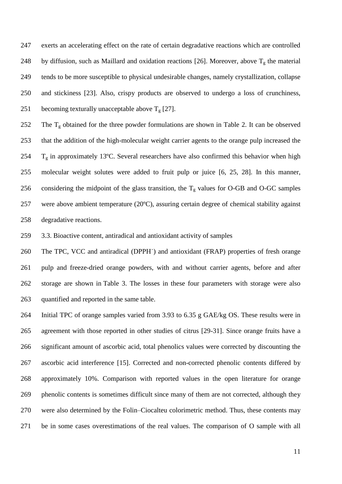exerts an accelerating effect on the rate of certain degradative reactions which are controlled 248 by diffusion, such as Maillard and oxidation reactions [26]. Moreover, above  $T_g$  the material tends to be more susceptible to physical undesirable changes, namely crystallization, collapse and stickiness [23]. Also, crispy products are observed to undergo a loss of crunchiness, 251 becoming texturally unacceptable above  $T_g$  [27].

252 The  $T_g$  obtained for the three powder formulations are shown in Table 2. It can be observed that the addition of the high-molecular weight carrier agents to the orange pulp increased the  $T_g$  in approximately 13°C. Several researchers have also confirmed this behavior when high molecular weight solutes were added to fruit pulp or juice [6, 25, 28]. In this manner, 256 considering the midpoint of the glass transition, the  $T_g$  values for O-GB and O-GC samples were above ambient temperature (20ºC), assuring certain degree of chemical stability against degradative reactions.

3.3. Bioactive content, antiradical and antioxidant activity of samples

 The TPC, VCC and antiradical (DPPH˙) and antioxidant (FRAP) properties of fresh orange pulp and freeze-dried orange powders, with and without carrier agents, before and after storage are shown in [Table](http://www.sciencedirect.com/science/article/pii/S0268005X11003122#tbl1) 3. The losses in these four parameters with storage were also quantified and reported in the same table.

 Initial TPC of orange samples varied from 3.93 to 6.35 g GAE/kg OS. These results were in agreement with those reported in other studies of citrus [29-31]. Since orange fruits have a significant amount of ascorbic acid, total phenolics values were corrected by discounting the ascorbic acid interference [15]. Corrected and non-corrected phenolic contents differed by approximately 10%. Comparison with reported values in the open literature for orange phenolic contents is sometimes difficult since many of them are not corrected, although they were also determined by the Folin–Ciocalteu colorimetric method. Thus, these contents may be in some cases overestimations of the real values. The comparison of O sample with all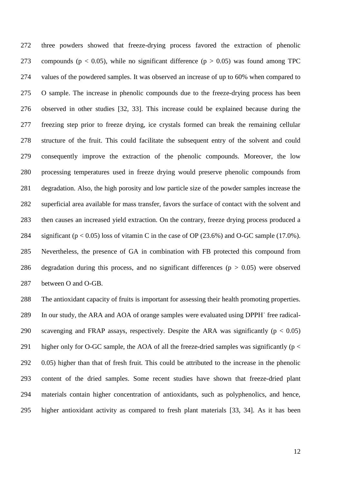three powders showed that freeze-drying process favored the extraction of phenolic 273 compounds ( $p < 0.05$ ), while no significant difference ( $p > 0.05$ ) was found among TPC values of the powdered samples. It was observed an increase of up to 60% when compared to O sample. The increase in phenolic compounds due to the freeze-drying process has been observed in other studies [32, 33]. This increase could be explained because during the freezing step prior to freeze drying, ice crystals formed can break the remaining cellular structure of the fruit. This could facilitate the subsequent entry of the solvent and could consequently improve the extraction of the phenolic compounds. Moreover, the low processing temperatures used in freeze drying would preserve phenolic compounds from degradation. Also, the high porosity and low particle size of the powder samples increase the superficial area available for mass transfer, favors the surface of contact with the solvent and then causes an increased yield extraction. On the contrary, freeze drying process produced a 284 significant ( $p < 0.05$ ) loss of vitamin C in the case of OP (23.6%) and O-GC sample (17.0%). Nevertheless, the presence of GA in combination with FB protected this compound from 286 degradation during this process, and no significant differences ( $p > 0.05$ ) were observed between O and O-GB.

 The antioxidant capacity of fruits is important for assessing their health promoting properties. In our study, the ARA and AOA of orange samples were evaluated using DPPH˙ free radical-290 scavenging and FRAP assays, respectively. Despite the ARA was significantly ( $p < 0.05$ ) 291 higher only for O-GC sample, the AOA of all the freeze-dried samples was significantly ( $p <$  0.05) higher than that of fresh fruit. This could be attributed to the increase in the phenolic content of the dried samples. Some recent studies have shown that freeze-dried plant materials contain higher concentration of antioxidants, such as polyphenolics, and hence, higher antioxidant activity as compared to fresh plant materials [33, 34]. As it has been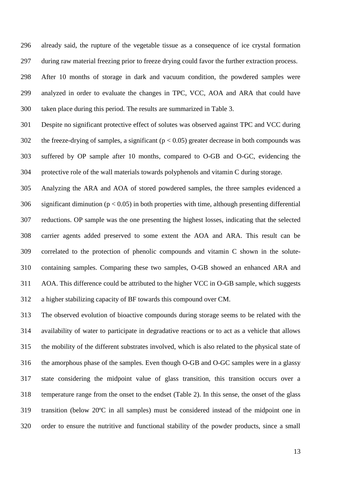already said, the rupture of the vegetable tissue as a consequence of ice crystal formation during raw material freezing prior to freeze drying could favor the further extraction process.

 After 10 months of storage in dark and vacuum condition, the powdered samples were analyzed in order to evaluate the changes in TPC, VCC, AOA and ARA that could have taken place during this period. The results are summarized in Table 3.

 Despite no significant protective effect of solutes was observed against TPC and VCC during 302 the freeze-drying of samples, a significant ( $p < 0.05$ ) greater decrease in both compounds was suffered by OP sample after 10 months, compared to O-GB and O-GC, evidencing the protective role of the wall materials towards polyphenols and vitamin C during storage.

 Analyzing the ARA and AOA of stored powdered samples, the three samples evidenced a 306 significant diminution ( $p < 0.05$ ) in both properties with time, although presenting differential reductions. OP sample was the one presenting the highest losses, indicating that the selected carrier agents added preserved to some extent the AOA and ARA. This result can be correlated to the protection of phenolic compounds and vitamin C shown in the solute- containing samples. Comparing these two samples, O-GB showed an enhanced ARA and AOA. This difference could be attributed to the higher VCC in O-GB sample, which suggests a higher stabilizing capacity of BF towards this compound over CM.

 The observed evolution of bioactive compounds during storage seems to be related with the availability of water to participate in degradative reactions or to act as a vehicle that allows the mobility of the different substrates involved, which is also related to the physical state of the amorphous phase of the samples. Even though O-GB and O-GC samples were in a glassy state considering the midpoint value of glass transition, this transition occurs over a temperature range from the onset to the endset (Table 2). In this sense, the onset of the glass transition (below 20ºC in all samples) must be considered instead of the midpoint one in order to ensure the nutritive and functional stability of the powder products, since a small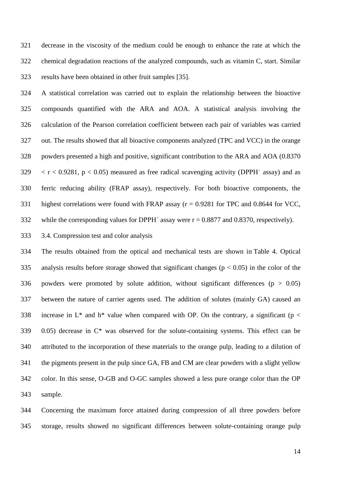decrease in the viscosity of the medium could be enough to enhance the rate at which the chemical degradation reactions of the analyzed compounds, such as vitamin C, start. Similar results have been obtained in other fruit samples [35].

 A statistical correlation was carried out to explain the relationship between the bioactive compounds quantified with the ARA and AOA. A statistical analysis involving the calculation of the Pearson correlation coefficient between each pair of variables was carried out. The results showed that all bioactive components analyzed (TPC and VCC) in the orange powders presented a high and positive, significant contribution to the ARA and AOA (0.8370  $329 \le r < 0.9281$ ,  $p < 0.05$ ) measured as free radical scavenging activity (DPPH assay) and as ferric reducing ability (FRAP assay), respectively. For both bioactive components, the highest correlations were found with FRAP assay (r = 0.9281 for TPC and 0.8644 for VCC, 332 while the corresponding values for DPPH assay were  $r = 0.8877$  and 0.8370, respectively).

# 3.4. Compression test and color analysis

 The results obtained from the optical and mechanical tests are shown in Table 4. Optical 335 analysis results before storage showed that significant changes ( $p < 0.05$ ) in the color of the 336 powders were promoted by solute addition, without significant differences ( $p > 0.05$ ) between the nature of carrier agents used. The addition of solutes (mainly GA) caused an 338 increase in  $L^*$  and  $h^*$  value when compared with OP. On the contrary, a significant (p < 0.05) decrease in C\* was observed for the solute-containing systems. This effect can be attributed to the incorporation of these materials to the orange pulp, leading to a dilution of the pigments present in the pulp since GA, FB and CM are clear powders with a slight yellow color. In this sense, O-GB and O-GC samples showed a less pure orange color than the OP sample.

 Concerning the maximum force attained during compression of all three powders before storage, results showed no significant differences between solute-containing orange pulp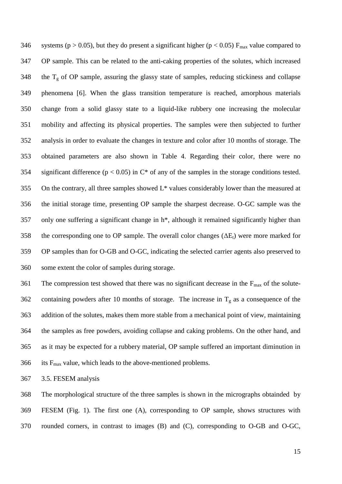346 systems (p > 0.05), but they do present a significant higher (p < 0.05)  $F_{\text{max}}$  value compared to OP sample. This can be related to the anti-caking properties of the solutes, which increased 348 the  $T_g$  of OP sample, assuring the glassy state of samples, reducing stickiness and collapse phenomena [6]. When the glass transition temperature is reached, amorphous materials change from a solid glassy state to a liquid-like rubbery one increasing the molecular mobility and affecting its physical properties. The samples were then subjected to further analysis in order to evaluate the changes in texture and color after 10 months of storage. The obtained parameters are also shown in Table 4. Regarding their color, there were no 354 significant difference ( $p < 0.05$ ) in C<sup>\*</sup> of any of the samples in the storage conditions tested. On the contrary, all three samples showed L\* values considerably lower than the measured at the initial storage time, presenting OP sample the sharpest decrease. O-GC sample was the only one suffering a significant change in h\*, although it remained significantly higher than 358 the corresponding one to OP sample. The overall color changes  $(\Delta E_t)$  were more marked for OP samples than for O-GB and O-GC, indicating the selected carrier agents also preserved to some extent the color of samples during storage.

361 The compression test showed that there was no significant decrease in the  $F_{\text{max}}$  of the solute-362 containing powders after 10 months of storage. The increase in  $T_g$  as a consequence of the addition of the solutes, makes them more stable from a mechanical point of view, maintaining the samples as free powders, avoiding collapse and caking problems. On the other hand, and as it may be expected for a rubbery material, OP sample suffered an important diminution in 366 its  $F_{\text{max}}$  value, which leads to the above-mentioned problems.

3.5. FESEM analysis

 The morphological structure of the three samples is shown in the micrographs obtainded by FESEM (Fig. 1). The first one (A), corresponding to OP sample, shows structures with rounded corners, in contrast to images (B) and (C), corresponding to O-GB and O-GC,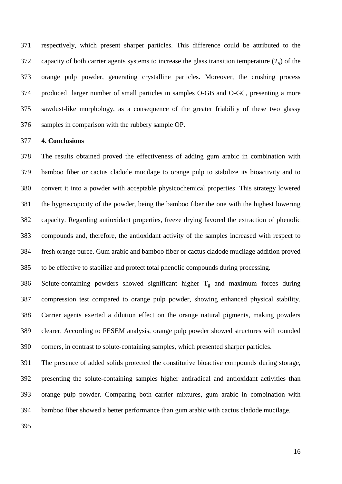respectively, which present sharper particles. This difference could be attributed to the 372 capacity of both carrier agents systems to increase the glass transition temperature  $(T_g)$  of the orange pulp powder, generating crystalline particles. Moreover, the crushing process produced larger number of small particles in samples O-GB and O-GC, presenting a more sawdust-like morphology, as a consequence of the greater friability of these two glassy samples in comparison with the rubbery sample OP.

#### **4. Conclusions**

 The results obtained proved the effectiveness of adding gum arabic in combination with bamboo fiber or cactus cladode mucilage to orange pulp to stabilize its bioactivity and to convert it into a powder with acceptable physicochemical properties. This strategy lowered the hygroscopicity of the powder, being the bamboo fiber the one with the highest lowering capacity. Regarding antioxidant properties, freeze drying favored the extraction of phenolic compounds and, therefore, the antioxidant activity of the samples increased with respect to fresh orange puree. Gum arabic and bamboo fiber or cactus cladode mucilage addition proved to be effective to stabilize and protect total phenolic compounds during processing.

386 Solute-containing powders showed significant higher  $T_g$  and maximum forces during compression test compared to orange pulp powder, showing enhanced physical stability. Carrier agents exerted a dilution effect on the orange natural pigments, making powders clearer. According to FESEM analysis, orange pulp powder showed structures with rounded corners, in contrast to solute-containing samples, which presented sharper particles.

 The presence of added solids protected the constitutive bioactive compounds during storage, presenting the solute-containing samples higher antiradical and antioxidant activities than orange pulp powder. Comparing both carrier mixtures, gum arabic in combination with bamboo fiber showed a better performance than gum arabic with cactus cladode mucilage.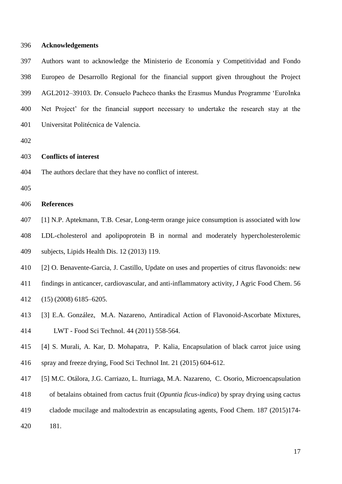### **Acknowledgements**

 Authors want to acknowledge the Ministerio de Economía y Competitividad and Fondo Europeo de Desarrollo Regional for the financial support given throughout the Project AGL2012–39103. Dr. Consuelo Pacheco thanks the Erasmus Mundus Programme 'EuroInka 400 Net Project' for the financial support necessary to undertake the research stay at the Universitat Politécnica de Valencia.

# **Conflicts of interest**

The authors declare that they have no conflict of interest.

## **References**

[1] N.P. Aptekmann, T.B. Cesar, Long-term orange juice consumption is associated with low

 LDL-cholesterol and apolipoprotein B in normal and moderately hypercholesterolemic subjects, Lipids Health Dis. 12 (2013) 119.

[2] O. Benavente-Garcia, J. Castillo, Update on uses and properties of citrus flavonoids: new

findings in anticancer, cardiovascular, and anti-inflammatory activity, J Agric Food Chem. 56

(15) (2008) 6185–6205.

- [3] E.A. González, M.A. Nazareno, Antiradical Action of Flavonoid-Ascorbate Mixtures, LWT - Food Sci Technol. 44 (2011) 558-564.
- [4] S. Murali, A. Kar, D. Mohapatra, P. Kalia, Encapsulation of black carrot juice using spray and freeze drying, Food Sci Technol Int. 21 (2015) 604-612.
- [5] M.C. Otálora, J.G. Carriazo, L. Iturriaga, M.A. Nazareno, C. Osorio, Microencapsulation
- of betalains obtained from cactus fruit (*Opuntia ficus-indica*) by spray drying using cactus
- cladode mucilage and maltodextrin as encapsulating agents, Food Chem. 187 (2015)174-
- 181.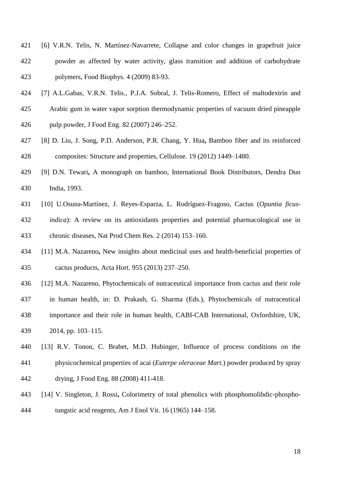- [6] V.R.N. Telis, N. Martínez-Navarrete, Collapse and color changes in grapefruit juice powder as affected by water activity, glass transition and addition of carbohydrate polymers, Food Biophys. 4 (2009) 83-93.
- [7] A.L.Gabas, V.R.N. Telis., P.J.A. Sobral, J. Telis-Romero, Effect of maltodextrin and
- Arabic gum in water vapor sorption thermodynamic properties of vacuum dried pineapple
- pulp powder, J Food Eng. 82 (2007) 246–252.
- [8] D. Liu, J. Song, P.D. Anderson, P.R. Chang, Y. Hua**,** Bamboo fiber and its reinforced composites: Structure and properties, Cellulose. 19 (2012) 1449–1480.
- [9] D.N. Tewari**,** A monograph on bamboo, International Book Distributors, Dendra Dun India, 1993.
- [10] U.Osuna-Martínez, J. Reyes-Esparza, L. Rodríguez-Fragoso, Cactus (*Opuntia ficus- indica*): A review on its antioxidants properties and potential pharmacological use in chronic diseases, Nat Prod Chem Res. 2 (2014) 153–160.
- [11] M.A. Nazareno**,** New insights about medicinal uses and health-beneficial properties of cactus products, Acta Hort. 955 (2013) 237–250.
- [12] M.A. Nazareno, Phytochemicals of nutraceutical importance from cactus and their role in human health, in: D. Prakash, G. Sharma (Eds.), Phytochemicals of nutraceutical importance and their role in human health, CABI-CAB International, Oxfordshire, UK, 2014, pp. 103–115.
- [13] R.V. Tonon, C. Brabet, M.D. Hubinger, Influence of process conditions on the physicochemical properties of acai (*Euterpe oleraceae Mart*.) powder produced by spray drying, J Food Eng. 88 (2008) 411-418.
- [14] V. Singleton, J. Rossi**,** Colorimetry of total phenolics with phosphomolibdic-phospho-tungstic acid reagents, Am J Enol Vit. 16 (1965) 144–158.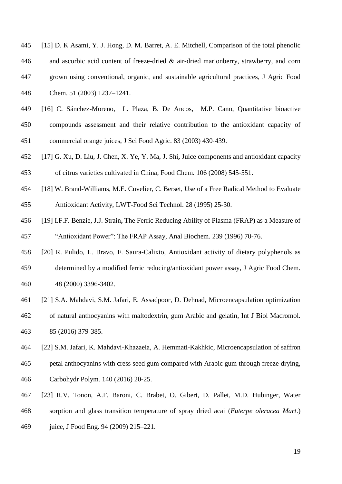| 445 | [15] D. K Asami, Y. J. Hong, D. M. Barret, A. E. Mitchell, Comparison of the total phenolic |
|-----|---------------------------------------------------------------------------------------------|
| 446 | and ascorbic acid content of freeze-dried $\&$ air-dried marionberry, strawberry, and corn  |
| 447 | grown using conventional, organic, and sustainable agricultural practices, J Agric Food     |
| 448 | Chem. 51 (2003) 1237–1241.                                                                  |
| 449 | [16] C. Sánchez-Moreno, L. Plaza, B. De Ancos, M.P. Cano, Quantitative bioactive            |

- compounds assessment and their relative contribution to the antioxidant capacity of commercial orange juices, J Sci Food Agric. 83 (2003) 430‐439.
- [17] G. Xu, D. Liu, J. Chen, X. Ye, Y. Ma, J. Shi**,** Juice components and antioxidant capacity of citrus varieties cultivated in China, Food Chem*.* 106 (2008) 545‐551.
- [18] W. Brand-Williams, M.E. Cuvelier, C. Berset, Use of a Free Radical Method to Evaluate Antioxidant Activity, LWT-Food Sci Technol. 28 (1995) 25-30.
- [19] I.F.F. Benzie, J.J. Strain**,** The Ferric Reducing Ability of Plasma (FRAP) as a Measure of 457 "Antioxidant Power": The FRAP Assay, Anal Biochem. 239 (1996) 70-76.
- [20] R. Pulido, L. Bravo, F. Saura-Calixto, Antioxidant activity of dietary polyphenols as determined by a modified ferric reducing/antioxidant power assay, J Agric Food Chem. 48 (2000) 3396-3402.
- [21] S.A. Mahdavi, S.M. Jafari, E. Assadpoor, D. Dehnad, Microencapsulation optimization
- of natural anthocyanins with maltodextrin, gum Arabic and gelatin, Int J Biol Macromol*.* 85 (2016) 379-385.
- [22] S.M. Jafari, K. Mahdavi-Khazaeia, A. Hemmati-Kakhkic, Microencapsulation of saffron petal anthocyanins with cress seed gum compared with Arabic gum through freeze drying, Carbohydr Polym*.* 140 (2016) 20-25.
- [23] R.V. Tonon, A.F. Baroni, C. Brabet, O. Gibert, D. Pallet, M.D. Hubinger, Water sorption and glass transition temperature of spray dried acai (*Euterpe oleracea Mart*.) juice, J Food Eng. 94 (2009) 215–221.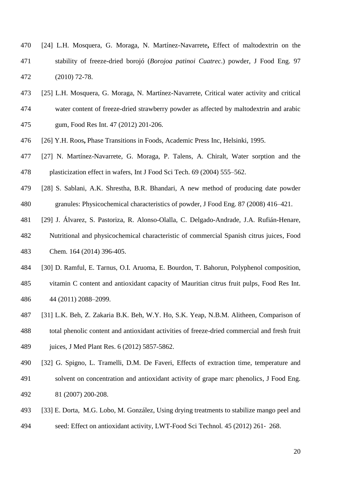- [24] L.H. Mosquera, G. Moraga, N. Martínez-Navarrete**,** Effect of maltodextrin on the stability of freeze-dried borojó (*Borojoa patinoi Cuatrec*.) powder, J Food Eng. 97 (2010) 72-78.
- [25] L.H. Mosquera, G. Moraga, N. Martínez-Navarrete, Critical water activity and critical water content of freeze-dried strawberry powder as affected by maltodextrin and arabic
- gum, Food Res Int. 47 (2012) 201-206.
- [26] Y.H. Roos**,** Phase Transitions in Foods*,* Academic Press Inc, Helsinki, 1995.
- [27] N. Martínez-Navarrete, G. Moraga, P. Talens, A. Chiralt, Water sorption and the plasticization effect in wafers, Int J Food Sci Tech. 69 (2004) 555–562.
- [28] S. Sablani, A.K. Shrestha, B.R. Bhandari, A new method of producing date powder granules: Physicochemical characteristics of powder, J Food Eng. 87 (2008) 416–421.
- [29] J. Álvarez, S. Pastoriza, R. Alonso-Olalla, C. Delgado-Andrade, J.A. Rufián-Henare, Nutritional and physicochemical characteristic of commercial Spanish citrus juices, Food Chem*.* 164 (2014) 396-405.
- [30] D. Ramful, E. Tarnus, O.I. Aruoma, E. Bourdon, T. Bahorun, Polyphenol composition, vitamin C content and antioxidant capacity of Mauritian citrus fruit pulps, Food Res Int. 44 (2011) 2088–2099.
- [31] L.K. Beh, Z. Zakaria B.K. Beh, W.Y. Ho, S.K. Yeap, N.B.M. Alitheen, Comparison of
- total phenolic content and antioxidant activities of freeze-dried commercial and fresh fruit 489 juices, J Med Plant Res. 6 (2012) 5857-5862.
- [32] G. Spigno, L. Tramelli, D.M. De Faveri, Effects of extraction time, temperature and solvent on concentration and antioxidant activity of grape marc phenolics, J Food Eng. 81 (2007) 200-208.
- [33] E. Dorta, M.G. Lobo, M. González, Using drying treatments to stabilize mango peel and
- seed: Effect on antioxidant activity, LWT-Food Sci Technol*.* 45 (2012) 261‐ 268.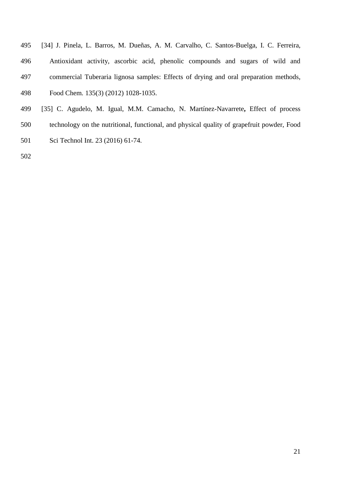- [34] J. Pinela, L. Barros, M. Dueñas, A. M. Carvalho, C. Santos-Buelga, I. C. Ferreira, Antioxidant activity, ascorbic acid, phenolic compounds and sugars of wild and commercial Tuberaria lignosa samples: Effects of drying and oral preparation methods, Food Chem*.* 135(3) (2012) 1028-1035.
- [35] C. Agudelo, M. Igual, M.M. Camacho, N. Martínez-Navarrete**,** Effect of process technology on the nutritional, functional, and physical quality of grapefruit powder, Food Sci Technol Int. 23 (2016) 61-74.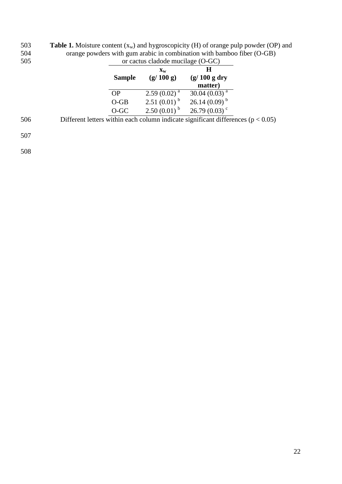503 **Table 1.** Moisture content  $(x_w)$  and hygroscopicity  $(H)$  of orange pulp powder  $(OP)$  and 504 orange powders with gum arabic in combination with bamboo fiber (O-GB)

| 505 | or cactus cladode mucilage (O-GC) |                           |                                                                                      |  |
|-----|-----------------------------------|---------------------------|--------------------------------------------------------------------------------------|--|
|     |                                   | $\mathbf{X}_{\mathbf{W}}$ | H                                                                                    |  |
|     | <b>Sample</b>                     | (g/100 g)                 | $(g/100 g$ dry                                                                       |  |
|     |                                   |                           | matter)                                                                              |  |
|     | <b>OP</b>                         | $2.59(0.02)^{a}$          | 30.04 $(0.03)^{a}$                                                                   |  |
|     | $O-GB$                            |                           | $2.51(0.01)^{b}$ $26.14(0.09)^{b}$                                                   |  |
|     | O-GC                              |                           | $2.50(0.01)^{b}$ $26.79(0.03)^{c}$                                                   |  |
| 506 |                                   |                           | Different letters within each column indicate significant differences ( $p < 0.05$ ) |  |
| 507 |                                   |                           |                                                                                      |  |
| 508 |                                   |                           |                                                                                      |  |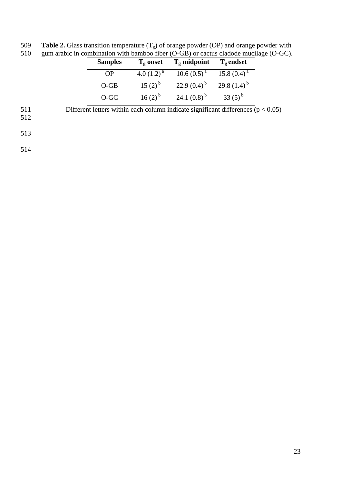509 **Table 2.** Glass transition temperature  $(T_g)$  of orange powder (OP) and orange powder with 510 gum arabic in combination with bamboo fiber (O-GB) or cactus cladode mucilage (O-GC).

|            | <b>Samples</b> | $T_g$ onset     | $T_g$ midpoint                                                                       | $T_g$ endset |  |
|------------|----------------|-----------------|--------------------------------------------------------------------------------------|--------------|--|
|            | <b>OP</b>      | 4.0 $(1.2)^{a}$ | $10.6 (0.5)^{a}$ 15.8 $(0.4)^{a}$                                                    |              |  |
|            | $O-GB$         | $15(2)^{b}$     | 22.9 $(0.4)^{\mathrm{b}}$ 29.8 $(1.4)^{\mathrm{b}}$                                  |              |  |
|            | $O-GC$         | $16(2)^{b}$     | 24.1 $(0.8)^{\text{b}}$ 33 $(5)^{\text{b}}$                                          |              |  |
| 511<br>512 |                |                 | Different letters within each column indicate significant differences ( $p < 0.05$ ) |              |  |

513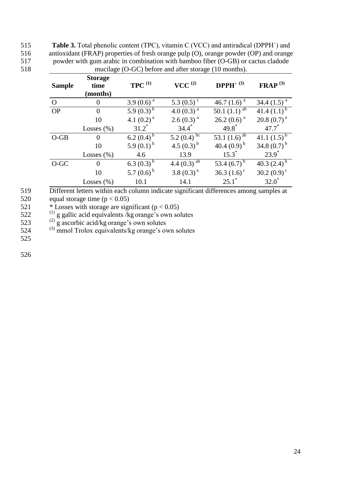515 **Table 3.** Total phenolic content (TPC), vitamin C (VCC) and antiradical (DPPH˙) and 516 antioxidant (FRAP) properties of fresh orange pulp (O), orange powder (OP) and orange<br>517 bowder with gum arabic in combination with bamboo fiber (O-GB) or cactus cladode powder with gum arabic in combination with bamboo fiber (O-GB) or cactus cladode 518 mucilage (O-GC) before and after storage (10 months).

| <b>Sample</b> | <b>Storage</b><br>time<br>(months) | $TPC$ <sup>(1)</sup> | $VCC^{(2)}$               | DPPH $\cdot$ (3)  | $\mathbf{FRAP}^{(3)}$ |
|---------------|------------------------------------|----------------------|---------------------------|-------------------|-----------------------|
| $\Omega$      | $\theta$                           | 3.9 $(0.6)^a$        | 5.3 $(0.5)^c$             | 46.7 $(1.6)^{a}$  | 34.4 $(1.5)^{a}$      |
| <b>OP</b>     | $\theta$                           | 5.9 $(0.3)^{b}$      | 4.0 $(0.3)^{a}$           | 50.1 $(1.1)^{ab}$ | 41.4 $(1.1)^{b}$      |
|               | 10                                 | 4.1 $(0.2)^a$        | $2.6(0.3)^{a}$            | $26.2(0.6)^{a}$   | $20.8(0.7)^{a}$       |
|               | Losses $(\% )$                     | $31.2^*$             | $34.4^*$                  | $49.8^*$          | $47.7^*$              |
| $O-GB$        | $\theta$                           | 6.2 $(0.4)^{b}$      | 5.2 $(0.4)$ bc            | 53.1 $(1.6)^{ab}$ | 41.1 $(1.5)^{b}$      |
|               | 10                                 | 5.9 $(0.1)^{b}$      | 4.5 $(0.3)^{b}$           | 40.4 $(0.9)^{b}$  | 34.8 $(0.7)^{b}$      |
|               | Losses $(\%)$                      | 4.6                  | 13.9                      | $15.3^*$          | $23.9^*$              |
| $O-GC$        | $\theta$                           | 6.3 $(0.3)^{b}$      | 4.4 $(0.3)$ <sup>ab</sup> | 53.4 $(6.7)^{b}$  | 40.3 $(2.4)^{b}$      |
|               | 10                                 | 5.7 $(0.6)^{b}$      | 3.8 $(0.3)^{a}$           | 36.3 $(1.6)^c$    | 30.2 $(0.9)^{\circ}$  |
|               | Losses $(\% )$                     | 10.1                 | 14.1                      | $25.1^*$          | $32.0^*$              |

519 Different letters within each column indicate significant differences among samples at

520 equal storage time  $(p < 0.05)$ 

521  $\overrightarrow{5}$  Losses with storage are significant (p < 0.05)

522  $^{(1)}$  g gallic acid equivalents /kg orange's own solutes

523  $\frac{(2)}{9}$  g ascorbic acid/kg orange's own solutes

524 <sup>(3)</sup> mmol Trolox equivalents/kg orange's own solutes

525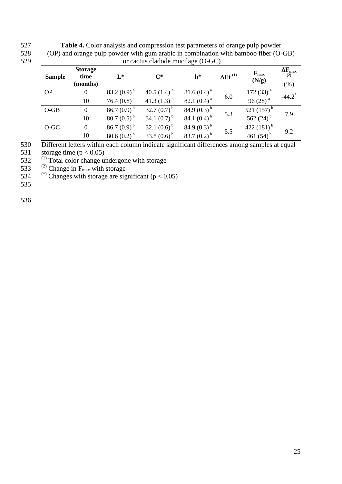| (OP) and orange puip powder with gum arabic in combination with bamboo HDer (O-GB) |                        |                  |                  |                  |                            |                           |                             |  |  |
|------------------------------------------------------------------------------------|------------------------|------------------|------------------|------------------|----------------------------|---------------------------|-----------------------------|--|--|
| or cactus cladode mucilage (O-GC)                                                  |                        |                  |                  |                  |                            |                           |                             |  |  |
| <b>Sample</b>                                                                      | <b>Storage</b><br>time | $\mathbf{I}^*$   | $C^*$            | $h^*$            | $\Delta$ Et <sup>(1)</sup> | $F_{\text{max}}$<br>(N/g) | $\Delta F_{\rm max}$<br>(2) |  |  |
|                                                                                    | (months)               |                  |                  |                  |                            |                           | $(\%)$                      |  |  |
| <b>OP</b>                                                                          | $\boldsymbol{0}$       | 83.2 $(0.9)^{a}$ | 40.5 $(1.4)^a$   | 81.6 $(0.4)^a$   | 6.0                        | 172 $(33)^a$              | $-44.2$ <sup>*</sup>        |  |  |
|                                                                                    | 10                     | 76.4 $(0.8)^a$   | 41.3 $(1.3)^a$   | 82.1 $(0.4)^a$   |                            | 96 $(28)^a$               |                             |  |  |
| $O-GB$                                                                             | $\boldsymbol{0}$       | 86.7 $(0.9)^{b}$ | 32.7 $(0.7)^{b}$ | 84.9 $(0.3)^{b}$ |                            | 521 $(157)^{b}$           | 7.9                         |  |  |
|                                                                                    | 10                     | 80.7 $(0.5)^{b}$ | 34.1 $(0.7)^{b}$ | 84.1 $(0.4)^{b}$ | 5.3                        | 562 $(24)^{b}$            |                             |  |  |
| $O-GC$                                                                             | $\overline{0}$         | 86.7 $(0.9)^{b}$ | 32.1 $(0.6)^{b}$ | 84.9 $(0.3)^{b}$ |                            | 422 $(181)^{b}$           | 9.2                         |  |  |
|                                                                                    | 10                     | $80.6(0.2)^{b}$  | 33.8 $(0.6)^{b}$ | 83.7 $(0.2)^{b}$ | 5.5                        | 461 $(54)^b$              |                             |  |  |

527 **Table 4.** Color analysis and compression test parameters of orange pulp powder 528 (OP) and orange pulp powder with gum arabic in combination with bamboo fiber (O-GB) 529 or cactus cladode mucilage (O-GC)

530 Different letters within each column indicate significant differences among samples at equal

531 storage time  $(p < 0.05)$ 

 $532$  <sup>(1)</sup> Total color change undergone with storage

533 <sup>(2)</sup> Change in F<sub>max</sub> with storage<br>534 <sup>(\*)</sup> Changes with storage are significant (p < 0.05)

535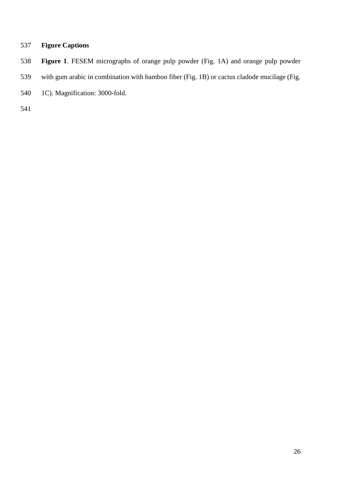# **Figure Captions**

- **Figure 1**. FESEM micrographs of orange pulp powder (Fig. 1A) and orange pulp powder
- with gum arabic in combination with bamboo fiber (Fig. 1B) or cactus cladode mucilage (Fig.
- 1C). Magnification: 3000-fold.
-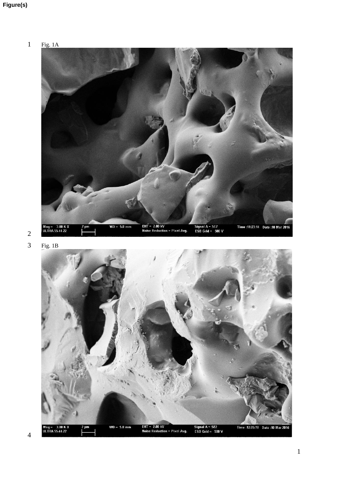



Fig. 1B